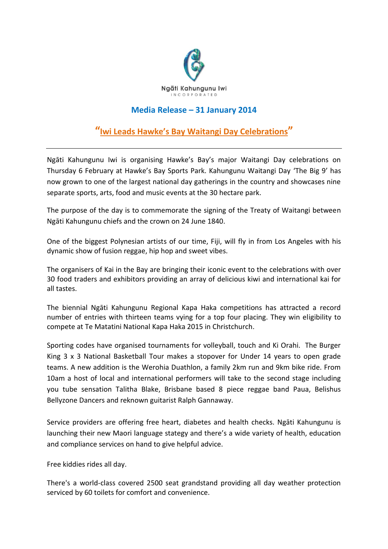

## **Media Release – 31 January 2014**

## **"Iwi Leads Hawke's Bay Waitangi Day Celebrations "**

Ngāti Kahungunu Iwi is organising Hawke's Bay's major Waitangi Day celebrations on Thursday 6 February at Hawke's Bay Sports Park. Kahungunu Waitangi Day 'The Big 9' has now grown to one of the largest national day gatherings in the country and showcases nine separate sports, arts, food and music events at the 30 hectare park.

The purpose of the day is to commemorate the signing of the Treaty of Waitangi between Ngāti Kahungunu chiefs and the crown on 24 June 1840.

One of the biggest Polynesian artists of our time, Fiji, will fly in from Los Angeles with his dynamic show of fusion reggae, hip hop and sweet vibes.

The organisers of Kai in the Bay are bringing their iconic event to the celebrations with over 30 food traders and exhibitors providing an array of delicious kiwi and international kai for all tastes.

The biennial Ngāti Kahungunu Regional Kapa Haka competitions has attracted a record number of entries with thirteen teams vying for a top four placing. They win eligibility to compete at Te Matatini National Kapa Haka 2015 in Christchurch.

Sporting codes have organised tournaments for volleyball, touch and Ki Orahi. The Burger King 3 x 3 National Basketball Tour makes a stopover for Under 14 years to open grade teams. A new addition is the Werohia Duathlon, a family 2km run and 9km bike ride. From 10am a host of local and international performers will take to the second stage including you tube sensation Talitha Blake, Brisbane based 8 piece reggae band Paua, Belishus Bellyzone Dancers and reknown guitarist Ralph Gannaway.

Service providers are offering free heart, diabetes and health checks. Ngāti Kahungunu is launching their new Maori language stategy and there's a wide variety of health, education and compliance services on hand to give helpful advice.

Free kiddies rides all day.

There's a world-class covered 2500 seat grandstand providing all day weather protection serviced by 60 toilets for comfort and convenience.